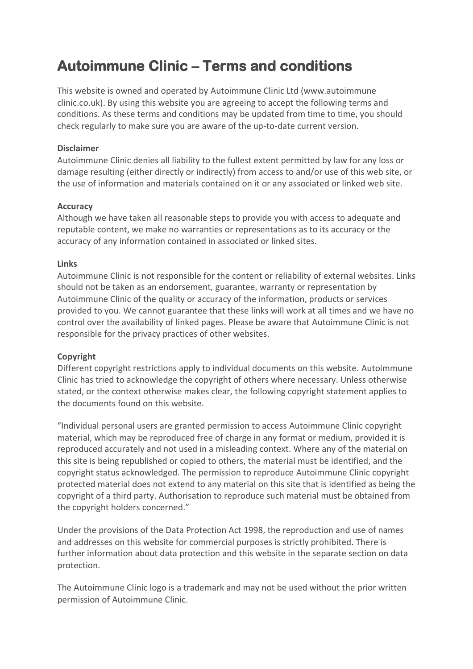# **Autoimmune Clinic – Terms and conditions**

This website is owned and operated by Autoimmune Clinic Ltd (www.autoimmune clinic.co.uk). By using this website you are agreeing to accept the following terms and conditions. As these terms and conditions may be updated from time to time, you should check regularly to make sure you are aware of the up-to-date current version.

## **Disclaimer**

Autoimmune Clinic denies all liability to the fullest extent permitted by law for any loss or damage resulting (either directly or indirectly) from access to and/or use of this web site, or the use of information and materials contained on it or any associated or linked web site.

## **Accuracy**

Although we have taken all reasonable steps to provide you with access to adequate and reputable content, we make no warranties or representations as to its accuracy or the accuracy of any information contained in associated or linked sites.

## **Links**

Autoimmune Clinic is not responsible for the content or reliability of external websites. Links should not be taken as an endorsement, guarantee, warranty or representation by Autoimmune Clinic of the quality or accuracy of the information, products or services provided to you. We cannot guarantee that these links will work at all times and we have no control over the availability of linked pages. Please be aware that Autoimmune Clinic is not responsible for the privacy practices of other websites.

#### **Copyright**

Different copyright restrictions apply to individual documents on this website. Autoimmune Clinic has tried to acknowledge the copyright of others where necessary. Unless otherwise stated, or the context otherwise makes clear, the following copyright statement applies to the documents found on this website.

"Individual personal users are granted permission to access Autoimmune Clinic copyright material, which may be reproduced free of charge in any format or medium, provided it is reproduced accurately and not used in a misleading context. Where any of the material on this site is being republished or copied to others, the material must be identified, and the copyright status acknowledged. The permission to reproduce Autoimmune Clinic copyright protected material does not extend to any material on this site that is identified as being the copyright of a third party. Authorisation to reproduce such material must be obtained from the copyright holders concerned."

Under the provisions of the Data Protection Act 1998, the reproduction and use of names and addresses on this website for commercial purposes is strictly prohibited. There is further information about data protection and this website in the separate section on data protection.

The Autoimmune Clinic logo is a trademark and may not be used without the prior written permission of Autoimmune Clinic.